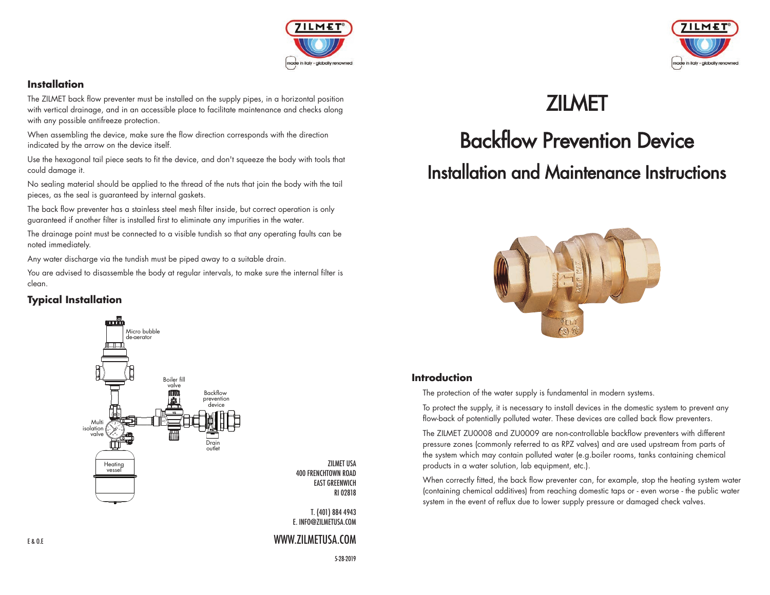

#### **Installation**

The ZILMET back flow preventer must be installed on the supply pipes, in a horizontal position with vertical drainage, and in an accessible place to facilitate maintenance and checks along with any possible antifreeze protection.

When assembling the device, make sure the flow direction corresponds with the direction indicated by the arrow on the device itself.

Use the hexagonal tail piece seats to fit the device, and don't squeeze the body with tools that could damage it.

No sealing material should be applied to the thread of the nuts that join the body with the tail pieces, as the seal is guaranteed by internal gaskets.

The back flow preventer has a stainless steel mesh filter inside, but correct operation is only guaranteed if another filter is installed first to eliminate any impurities in the water.

The drainage point must be connected to a visible tundish so that any operating faults can be noted immediately.

Any water discharge via the tundish must be piped away to a suitable drain.

You are advised to disassemble the body at regular intervals, to make sure the internal filter is clean.

#### **Typical Installation**



ZILMET USA 400 FRENCHTOWN ROAD EAST GREENWICH RI 02818

T. (401) 884 4943 E. INFO@ZILMETUSA.COM

#### WWW.ZILMETUSA.COM



## **ZILMET**

# Backflow Prevention Device Installation and Maintenance Instructions



#### **Introduction**

The protection of the water supply is fundamental in modern systems.

 To protect the supply, it is necessary to install devices in the domestic system to prevent any flow-back of potentially polluted water. These devices are called back flow preventers.

 The ZILMET ZU0008 and ZU0009 are non-controllable backflow preventers with different pressure zones (commonly referred to as RPZ valves) and are used upstream from parts of the system which may contain polluted water (e.g.boiler rooms, tanks containing chemical products in a water solution, lab equipment, etc.).

 When correctly fitted, the back flow preventer can, for example, stop the heating system water (containing chemical additives) from reaching domestic taps or - even worse - the public water system in the event of reflux due to lower supply pressure or damaged check valves.